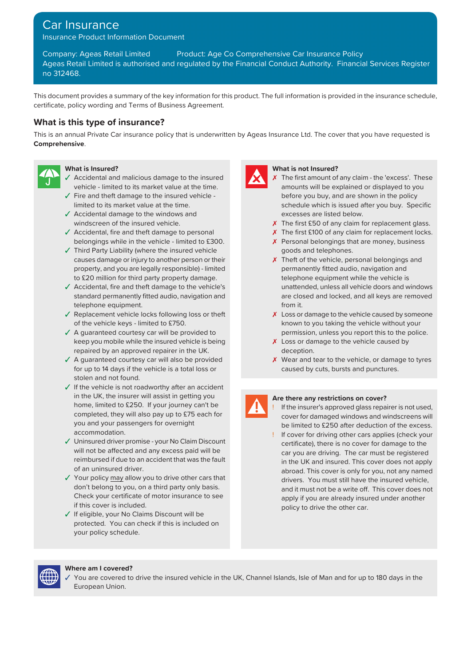# Car Insurance

Insurance Product Information Document

Company: Ageas Retail Limited Product: Age Co Comprehensive Car Insurance Policy Ageas Retail Limited is authorised and regulated by the Financial Conduct Authority. Financial Services Register no 312468.

This document provides a summary of the key information for this product. The full information is provided in the insurance schedule, certificate, policy wording and Terms of Business Agreement.

## **What is this type of insurance?**

This is an annual Private Car insurance policy that is underwritten by Ageas Insurance Ltd. The cover that you have requested is **Comprehensive**.



- ✓ Accidental and malicious damage to the insured ✗ vehicle - limited to its market value at the time.
- 
- ✓ Accidental damage to the windows and excesses are listed below.
- ✓ Accidental, fire and theft damage to personal belongings while in the vehicle - limited to £300.
- ✓ Third Party Liability (where the insured vehicle goods and telephones. causes damage or injury to another person or their **X** Theft of the vehicle, personal belongings and property, and you are legally responsible) - limited permanently fitted audio, navigation and to £20 million for third party property damage. The state of telephone equipment while the vehicle is
- ✓ Accidental, fire and theft damage to the vehicle's unattended, unless all vehicle doors and windows standard permanently fitted audio, navigation and telephone equipment.
- $\sqrt{\ }$  Replacement vehicle locks following loss or theft of the vehicle keys - limited to £750.
- keep you mobile while the insured vehicle is being repaired by an approved repairer in the UK.
- ✓ A guaranteed courtesy car will also be provided for up to 14 days if the vehicle is a total loss or stolen and not found.
- ✓ If the vehicle is not roadworthy after an accident in the UK, the insurer will assist in getting you **Are there any restrictions on cover?** home, limited to £250. If your journey can't be completed, they will also pay up to £75 each for be limited to £250 after deduction of the excess.<br>accommodation. We are applied to £250 after deduction of the excess.
- ✓ Uninsured driver promise your No Claim Discount certificate), there is no cover for damage to the reimbursed if due to an accident that was the fault of an uninsured driver.
- ✓ Your policy may allow you to drive other cars that drivers. You must still have the insured vehicle, don't belong to you, on a third party only basis. Check your certificate of motor insurance to see if this cover is included.
- ✓ If eligible, your No Claims Discount will be protected. You can check if this is included on your policy schedule.



### **What is Insured? What is not Insured?**

- $\chi$  The first amount of any claim the 'excess'. These amounts will be explained or displayed to you ✓ Fire and theft damage to the insured vehicle - before you buy, and are shown in the policy limited to its market value at the time. schedule which is issued after you buy. Specific
	- windscreen of the insured vehicle.  $\boldsymbol{\chi}$  The first £50 of any claim for replacement glass.
		- X The first £100 of any claim for replacement locks. X Personal belongings that are money, business
		- are closed and locked, and all keys are removed from it.
- X Loss or damage to the vehicle caused by someone known to you taking the vehicle without your ✓ A guaranteed courtesy car will be provided to permission, unless you report this to the police.
	- X Loss or damage to the vehicle caused by deception.
	- X Wear and tear to the vehicle, or damage to tyres caused by cuts, bursts and punctures.

- If the insurer's approved glass repairer is not used, cover for damaged windows and windscreens will
- ! If cover for driving other cars applies (check your car you are driving. The car must be registered in the UK and insured. This cover does not apply abroad. This cover is only for you, not any named and it must not be a write off. This cover does not apply if you are already insured under another policy to drive the other car.



### **Where am I covered?**

You are covered to drive the insured vehicle in the UK, Channel Islands, Isle of Man and for up to 180 days in the European Union.